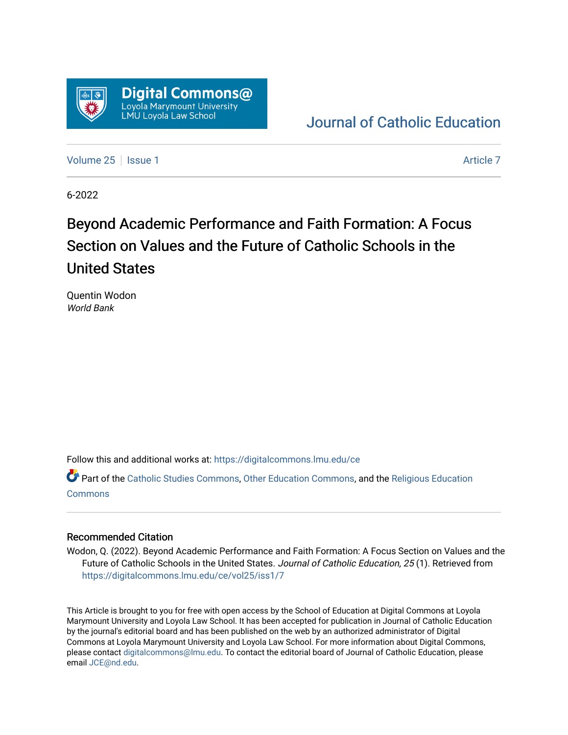

### [Journal of Catholic Education](https://digitalcommons.lmu.edu/ce)

[Volume 25](https://digitalcommons.lmu.edu/ce/vol25) | [Issue 1](https://digitalcommons.lmu.edu/ce/vol25/iss1) [Article 7](https://digitalcommons.lmu.edu/ce/vol25/iss1/7) Article 7 Article 7 Article 7 Article 7 Article 7 Article 7 Article 7 Article 7

6-2022

## Beyond Academic Performance and Faith Formation: A Focus Section on Values and the Future of Catholic Schools in the United States

Quentin Wodon World Bank

Follow this and additional works at: [https://digitalcommons.lmu.edu/ce](https://digitalcommons.lmu.edu/ce?utm_source=digitalcommons.lmu.edu%2Fce%2Fvol25%2Fiss1%2F7&utm_medium=PDF&utm_campaign=PDFCoverPages)

Part of the [Catholic Studies Commons](https://network.bepress.com/hgg/discipline/1294?utm_source=digitalcommons.lmu.edu%2Fce%2Fvol25%2Fiss1%2F7&utm_medium=PDF&utm_campaign=PDFCoverPages), [Other Education Commons](https://network.bepress.com/hgg/discipline/811?utm_source=digitalcommons.lmu.edu%2Fce%2Fvol25%2Fiss1%2F7&utm_medium=PDF&utm_campaign=PDFCoverPages), and the [Religious Education](https://network.bepress.com/hgg/discipline/1414?utm_source=digitalcommons.lmu.edu%2Fce%2Fvol25%2Fiss1%2F7&utm_medium=PDF&utm_campaign=PDFCoverPages)  [Commons](https://network.bepress.com/hgg/discipline/1414?utm_source=digitalcommons.lmu.edu%2Fce%2Fvol25%2Fiss1%2F7&utm_medium=PDF&utm_campaign=PDFCoverPages)

### Recommended Citation

Wodon, Q. (2022). Beyond Academic Performance and Faith Formation: A Focus Section on Values and the Future of Catholic Schools in the United States. Journal of Catholic Education, 25 (1). Retrieved from [https://digitalcommons.lmu.edu/ce/vol25/iss1/7](https://digitalcommons.lmu.edu/ce/vol25/iss1/7?utm_source=digitalcommons.lmu.edu%2Fce%2Fvol25%2Fiss1%2F7&utm_medium=PDF&utm_campaign=PDFCoverPages)

This Article is brought to you for free with open access by the School of Education at Digital Commons at Loyola Marymount University and Loyola Law School. It has been accepted for publication in Journal of Catholic Education by the journal's editorial board and has been published on the web by an authorized administrator of Digital Commons at Loyola Marymount University and Loyola Law School. For more information about Digital Commons, please contact [digitalcommons@lmu.edu](mailto:digitalcommons@lmu.edu). To contact the editorial board of Journal of Catholic Education, please email [JCE@nd.edu](mailto:JCE@nd.edu).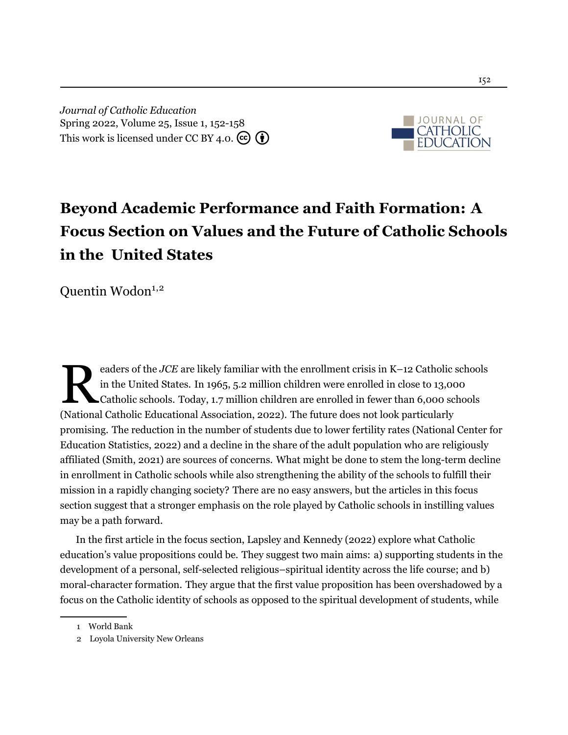*Journal of Catholic Education* Spring 2022, Volume 25, Issue 1, 152[-158](#page-7-0) This work is licensed under CC BY 4.0.  $\left(\mathbf{\hat{e}}\right)$ 



# **Beyond Academic Performance and Faith Formation: A Focus Section on Values and the Future of Catholic Schools in the United States**

Quentin Wodon $1,2$ 

eaders of the *JCE* are likely familiar with the enrollment crisis in K–12 Catholic in the United States. In 1965, 5.2 million children were enrolled in close to 13,0 Catholic schools. Today, 1.7 million children are enro eaders of the *JCE* are likely familiar with the enrollment crisis in K–12 Catholic schools in the United States. In 1965, 5.2 million children were enrolled in close to 13,000 Catholic schools. Today, 1.7 million children are enrolled in fewer than 6,000 schools promising. The reduction in the number of students due to lower fertility rates (National Center for Education Statistics, [2022](#page-5-0)) and a decline in the share of the adult population who are religiously affiliated [\(Smith](#page-6-0), [2021\)](#page-6-0) are sources of concerns. What might be done to stem the long-term decline in enrollment in Catholic schools while also strengthening the ability of the schools to fulfill their mission in a rapidly changing society? There are no easy answers, but the articles in this focus section suggest that a stronger emphasis on the role played by Catholic schools in instilling values may be a path forward.

In the first article in the focus section, [Lapsley and Kennedy \(2022](#page-5-1)) explore what Catholic education's value propositions could be. They suggest two main aims: a) supporting students in the development of a personal, self-selected religious–spiritual identity across the life course; and b) moral-character formation. They argue that the first value proposition has been overshadowed by a focus on the Catholic identity of schools as opposed to the spiritual development of students, while

<sup>1</sup> World Bank

<sup>2</sup> Loyola University New Orleans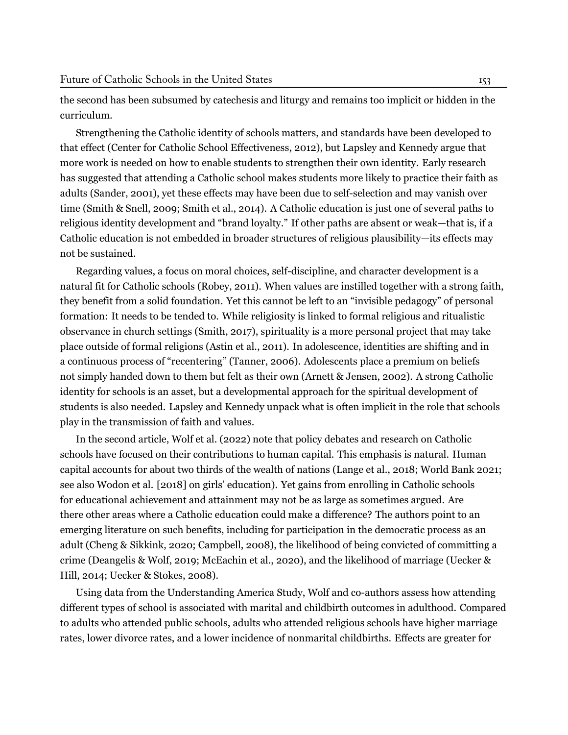the second has been subsumed by catechesis and liturgy and remains too implicit or hidden in the curriculum.

Strengthening the Catholic identity of schools matters, and standards have been developed to that effect (Center for Catholic School Effectiveness, [2012](#page-5-2)), but Lapsley and Kennedy argue that more work is needed on how to enable students to strengthen their own identity. Early research has suggested that attending a Catholic school makes students more likely to practice their faith as adults [\(Sander](#page-6-1), [2001\)](#page-6-1), yet these effects may have been due to self-selection and may vanish over time [\(Smith & Snell,](#page-6-2) [2009;](#page-6-2) [Smith et al.,](#page-6-3) [2014\)](#page-6-3). A Catholic education is just one of several paths to religious identity development and "brand loyalty." If other paths are absent or weak—that is, if a Catholic education is not embedded in broader structures of religious plausibility—its effects may not be sustained.

Regarding values, a focus on moral choices, self-discipline, and character development is a natural fit for Catholic schools ([Robey](#page-6-4), [2011\)](#page-6-4). When values are instilled together with a strong faith, they benefit from a solid foundation. Yet this cannot be left to an "invisible pedagogy" of personal formation: It needs to be tended to. While religiosity is linked to formal religious and ritualistic observance in church settings ([Smith,](#page-6-5) [2017](#page-6-5)), spirituality is a more personal project that may take place outside of formal religions ([Astin et al.](#page-5-3), [2011\)](#page-5-3). In adolescence, identities are shifting and in a continuous process of "recentering" [\(Tanner,](#page-6-6) [2006](#page-6-6)). Adolescents place a premium on beliefs not simply handed down to them but felt as their own [\(Arnett & Jensen,](#page-5-4) [2002](#page-5-4)). A strong Catholic identity for schools is an asset, but a developmental approach for the spiritual development of students is also needed. Lapsley and Kennedy unpack what is often implicit in the role that schools play in the transmission of faith and values.

In the second article, [Wolf et al.](#page-7-1) ([2022\)](#page-7-1) note that policy debates and research on Catholic schools have focused on their contributions to human capital. This emphasis is natural. Human capital accounts for about two thirds of the wealth of nations (Lange et al., [2018](#page-5-5); World Bank [2021;](#page-7-2) see also Wodon et al. [\[2018](#page-6-7)] on girls' education). Yet gains from enrolling in Catholic schools for educational achievement and attainment may not be as large as sometimes argued. Are there other areas where a Catholic education could make a difference? The authors point to an emerging literature on such benefits, including for participation in the democratic process as an adult [\(Cheng & Sikkink,](#page-5-6) [2020;](#page-5-6) [Campbell,](#page-5-7) [2008](#page-5-7)), the likelihood of being convicted of committing a crime [\(Deangelis & Wolf](#page-5-8), [2019;](#page-5-8) [McEachin et al.](#page-5-9), [2020](#page-5-9)), and the likelihood of marriage [\(Uecker &](#page-6-8) [Hill](#page-6-8), [2014](#page-6-8); [Uecker & Stokes](#page-6-9), [2008\)](#page-6-9).

Using data from the Understanding America Study, Wolf and co-authors assess how attending different types of school is associated with marital and childbirth outcomes in adulthood. Compared to adults who attended public schools, adults who attended religious schools have higher marriage rates, lower divorce rates, and a lower incidence of nonmarital childbirths. Effects are greater for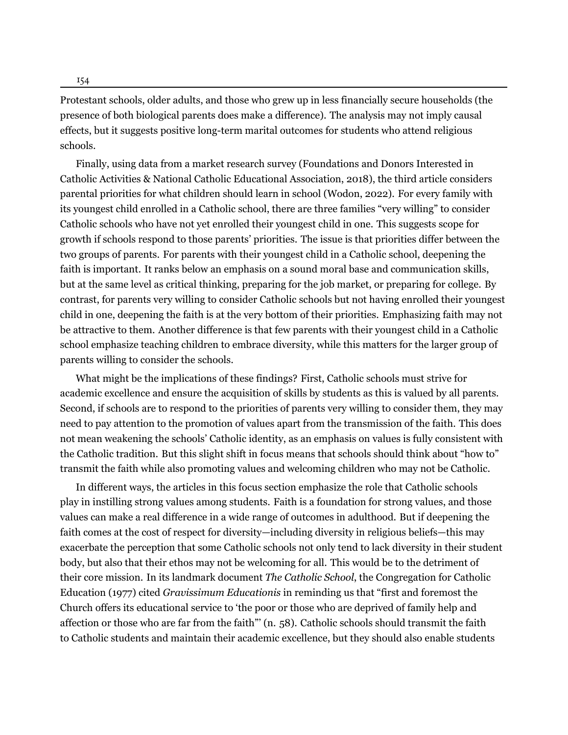154

Protestant schools, older adults, and those who grew up in less financially secure households (the presence of both biological parents does make a difference). The analysis may not imply causal effects, but it suggests positive long-term marital outcomes for students who attend religious schools.

Finally, using data from a market research survey (Foundations and Donors Interested in Catholic Activities & National Catholic Educational Association, [2018\)](#page-5-10), the third article considers parental priorities for what children should learn in school ([Wodon,](#page-6-10) [2022\)](#page-6-10). For every family with its youngest child enrolled in a Catholic school, there are three families "very willing" to consider Catholic schools who have not yet enrolled their youngest child in one. This suggests scope for growth if schools respond to those parents' priorities. The issue is that priorities differ between the two groups of parents. For parents with their youngest child in a Catholic school, deepening the faith is important. It ranks below an emphasis on a sound moral base and communication skills, but at the same level as critical thinking, preparing for the job market, or preparing for college. By contrast, for parents very willing to consider Catholic schools but not having enrolled their youngest child in one, deepening the faith is at the very bottom of their priorities. Emphasizing faith may not be attractive to them. Another difference is that few parents with their youngest child in a Catholic school emphasize teaching children to embrace diversity, while this matters for the larger group of parents willing to consider the schools.

What might be the implications of these findings? First, Catholic schools must strive for academic excellence and ensure the acquisition of skills by students as this is valued by all parents. Second, if schools are to respond to the priorities of parents very willing to consider them, they may need to pay attention to the promotion of values apart from the transmission of the faith. This does not mean weakening the schools' Catholic identity, as an emphasis on values is fully consistent with the Catholic tradition. But this slight shift in focus means that schools should think about "how to" transmit the faith while also promoting values and welcoming children who may not be Catholic.

In different ways, the articles in this focus section emphasize the role that Catholic schools play in instilling strong values among students. Faith is a foundation for strong values, and those values can make a real difference in a wide range of outcomes in adulthood. But if deepening the faith comes at the cost of respect for diversity—including diversity in religious beliefs—this may exacerbate the perception that some Catholic schools not only tend to lack diversity in their student body, but also that their ethos may not be welcoming for all. This would be to the detriment of their core mission. In its landmark document *The Catholic School*, the Congregation for Catholic Education ([1977\)](#page-5-11) cited *Gravissimum Educationis* in reminding us that "first and foremost the Church offers its educational service to 'the poor or those who are deprived of family help and affection or those who are far from the faith"' (n. 58). Catholic schools should transmit the faith to Catholic students and maintain their academic excellence, but they should also enable students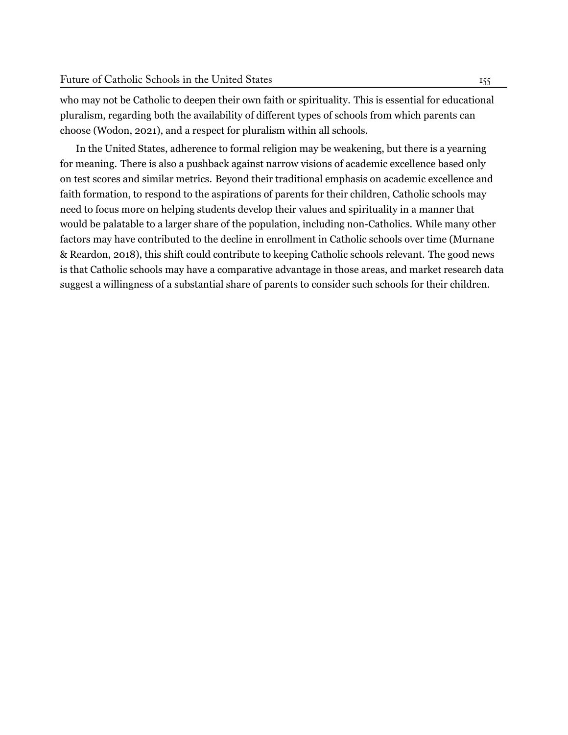who may not be Catholic to deepen their own faith or spirituality. This is essential for educational pluralism, regarding both the availability of different types of schools from which parents can choose ([Wodon,](#page-6-11) [2021\)](#page-6-11), and a respect for pluralism within all schools.

In the United States, adherence to formal religion may be weakening, but there is a yearning for meaning. There is also a pushback against narrow visions of academic excellence based only on test scores and similar metrics. Beyond their traditional emphasis on academic excellence and faith formation, to respond to the aspirations of parents for their children, Catholic schools may need to focus more on helping students develop their values and spirituality in a manner that would be palatable to a larger share of the population, including non-Catholics. While many other factors may have contributed to the decline in enrollment in Catholic schools over time [\(Murnane](#page-5-12) [& Reardon,](#page-5-12) [2018](#page-5-12)), this shift could contribute to keeping Catholic schools relevant. The good news is that Catholic schools may have a comparative advantage in those areas, and market research data suggest a willingness of a substantial share of parents to consider such schools for their children.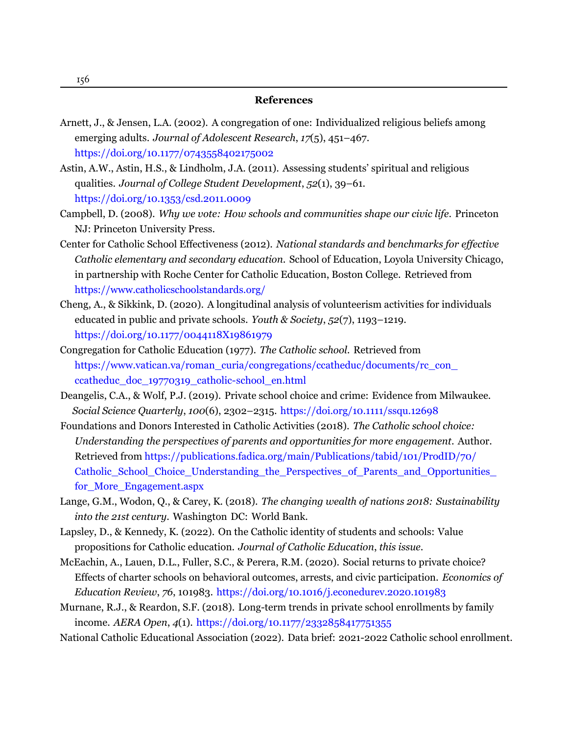#### **References**

- <span id="page-5-4"></span>Arnett, J., & Jensen, L.A. (2002). A congregation of one: Individualized religious beliefs among emerging adults. *Journal of Adolescent Research*, *17*(5), 451–467. <https://doi.org/10.1177/0743558402175002>
- <span id="page-5-3"></span>Astin, A.W., Astin, H.S., & Lindholm, J.A. (2011). Assessing students' spiritual and religious qualities. *Journal of College Student Development*, *52*(1), 39–61. <https://doi.org/10.1353/csd.2011.0009>
- <span id="page-5-7"></span>Campbell, D. (2008). *Why we vote: How schools and communities shape our civic life*. Princeton NJ: Princeton University Press.
- <span id="page-5-2"></span>Center for Catholic School Effectiveness (2012). *National standards and benchmarks for effective Catholic elementary and secondary education*. School of Education, Loyola University Chicago, in partnership with Roche Center for Catholic Education, Boston College. [Retrieved from](https://www.catholicschoolstandards.org/) <https://www.catholicschoolstandards.org/>
- <span id="page-5-6"></span>Cheng, A., & Sikkink, D. (2020). A longitudinal analysis of volunteerism activities for individuals educated in public and private schools. *Youth & Society*, *52*(7), 1193–1219. <https://doi.org/10.1177/0044118X19861979>
- <span id="page-5-11"></span>Congregation for Catholic Education (1977). *The Catholic school.* [Retrieved](https://www.vatican.va/roman_curia/congregations/ccatheduc/documents/rc_con_ccatheduc_doc_19770319_catholic-school_en.html) from [https://www.vatican.va/roman\\_curia/congregations/ccatheduc/documents/rc\\_con\\_](https://www.vatican.va/roman_curia/congregations/ccatheduc/documents/rc_con_ccatheduc_doc_19770319_catholic-school_en.html) [ccatheduc\\_doc\\_19770319\\_catholic-school\\_en.html](https://www.vatican.va/roman_curia/congregations/ccatheduc/documents/rc_con_ccatheduc_doc_19770319_catholic-school_en.html)
- <span id="page-5-8"></span>Deangelis, C.A., & Wolf, P.J. (2019). Private school choice and crime: Evidence from Milwaukee.  *Social Science Quarterly*, *100*(6), 2302–2315. <https://doi.org/10.1111/ssqu.12698>
- <span id="page-5-10"></span>Foundations and Donors Interested in Catholic Activities (2018). *The Catholic school choice: Understanding the perspectives of parents and opportunities for more engagement*. Author. Retrieved from [https://publications.fadica.org/main/Publications/tabid/101/ProdID/70/](https://publications.fadica.org/main/Publications/tabid/101/ProdID/70/Catholic_School_Choice_Understanding_the_Perspectives_of_Parents_and_Opportunities_for_More_Engagement.aspx) [Catholic\\_School\\_Choice\\_Understanding\\_the\\_Perspectives\\_of\\_Parents\\_and\\_Opportunities\\_](https://publications.fadica.org/main/Publications/tabid/101/ProdID/70/Catholic_School_Choice_Understanding_the_Perspectives_of_Parents_and_Opportunities_for_More_Engagement.aspx) [for\\_More\\_Engagement.aspx](https://publications.fadica.org/main/Publications/tabid/101/ProdID/70/Catholic_School_Choice_Understanding_the_Perspectives_of_Parents_and_Opportunities_for_More_Engagement.aspx)
- <span id="page-5-5"></span>Lange, G.M., Wodon, Q., & Carey, K. (2018). *The changing wealth of nations 2018: Sustainability into the 21st century*. Washington DC: World Bank.
- <span id="page-5-1"></span>Lapsley, D., & Kennedy, K. (2022). On the Catholic identity of students and schools: Value propositions for Catholic education. *Journal of Catholic Education*, *this issue*.
- <span id="page-5-9"></span>McEachin, A., Lauen, D.L., Fuller, S.C., & Perera, R.M. (2020). Social returns to private choice? Effects of charter schools on behavioral outcomes, arrests, and civic participation. *Economics of Education Review*, *76*, 101983. <https://doi.org/10.1016/j.econedurev.2020.101983>
- <span id="page-5-12"></span>Murnane, R.J., & Reardon, S.F. (2018). Long-term trends in private school enrollments by family income. *AERA Open*, *4*(1). <https://doi.org/10.1177/2332858417751355>

<span id="page-5-0"></span>National Catholic Educational Association (2022). Data brief: 2021-2022 Catholic school enrollment.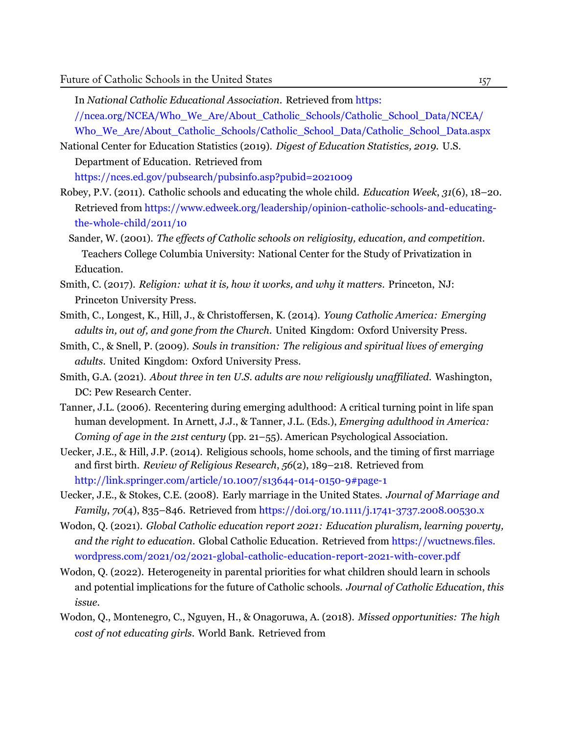In *National Catholic Educational Association*. [Retrieved from](https://ncea.org/NCEA/Who_We_Are/About_Catholic_Schools/Catholic_School_Data/NCEA/Who_We_Are/About_Catholic_Schools/Catholic_School_Data/Catholic_School_Data.aspx) https: [//ncea.org/NCEA/Who\\_We\\_Are/About\\_Catholic\\_Schools/Catholic\\_School\\_Data/NCEA/](https://ncea.org/NCEA/Who_We_Are/About_Catholic_Schools/Catholic_School_Data/NCEA/Who_We_Are/About_Catholic_Schools/Catholic_School_Data/Catholic_School_Data.aspx) [Who\\_We\\_Are/About\\_Catholic\\_Schools/Catholic\\_School\\_Data/Catholic\\_School\\_Data.aspx](https://ncea.org/NCEA/Who_We_Are/About_Catholic_Schools/Catholic_School_Data/NCEA/Who_We_Are/About_Catholic_Schools/Catholic_School_Data/Catholic_School_Data.aspx)

National Center for Education Statistics (2019). *Digest of Education Statistics, 2019*. U.S. Department of Education. [Retrieved](https://nces.ed.gov/pubsearch/pubsinfo.asp?pubid=2021009) from

<https://nces.ed.gov/pubsearch/pubsinfo.asp?pubid=2021009>

- <span id="page-6-4"></span>Robey, P.V. (2011). Catholic schools and educating the whole child. *Education Week*, *31*(6), 18–20. Retrieved from [https://www.edweek.org/leadership/opinion-catholic-schools-and-educating](https://www.edweek.org/leadership/opinion-catholic-schools-and-educating-the-whole-child/2011/10)[the-whole-child/2011/10](https://www.edweek.org/leadership/opinion-catholic-schools-and-educating-the-whole-child/2011/10)
- <span id="page-6-1"></span>Sander, W. (2001). *The effects of Catholic schools on religiosity, education, and competition*. Teachers College Columbia University: National Center for the Study of Privatization in Education.
- <span id="page-6-5"></span>Smith, C. (2017). *Religion: what it is, how it works, and why it matters*. Princeton, NJ: Princeton University Press.
- <span id="page-6-3"></span>Smith, C., Longest, K., Hill, J., & Christoffersen, K. (2014). *Young Catholic America: Emerging adults in, out of, and gone from the Church*. United Kingdom: Oxford University Press.
- <span id="page-6-2"></span>Smith, C., & Snell, P. (2009). *Souls in transition: The religious and spiritual lives of emerging adults*. United Kingdom: Oxford University Press.
- <span id="page-6-0"></span>Smith, G.A. (2021). *About three in ten U.S. adults are now religiously unaffiliated*. Washington, DC: Pew Research Center.
- <span id="page-6-6"></span>Tanner, J.L. (2006). Recentering during emerging adulthood: A critical turning point in life span human development. In Arnett, J.J., & Tanner, J.L. (Eds.), *Emerging adulthood in America: Coming of age in the 21st century* (pp. 21–55). American Psychological Association.
- <span id="page-6-8"></span>Uecker, J.E., & Hill, J.P. (2014). Religious schools, home schools, and the timing of first marriage and first birth. *Review of Religious Research*, *56*(2), 189–218. [Retrieved from](http://link.springer.com/article/10.1007/s13644-014-0150-9#page-1) <http://link.springer.com/article/10.1007/s13644-014-0150-9#page-1>
- <span id="page-6-9"></span>Uecker, J.E., & Stokes, C.E. (2008). Early marriage in the United States. *Journal of Marriage and Family*, *70*(4), 835–846. Retrieved from <https://doi.org/10.1111/j.1741-3737.2008.00530.x>
- <span id="page-6-11"></span>Wodon, Q. (2021). *Global Catholic education report 2021: Education pluralism, learning poverty, and the right to education*. Global Catholic Education. Retrieved from [https://wuctnews.files.](https://wuctnews.files.wordpress.com/2021/02/2021-global-catholic-education-report-2021-with-cover.pdf) [wordpress.com/2021/02/2021-global-catholic-education-report-2021-with-cover.pdf](https://wuctnews.files.wordpress.com/2021/02/2021-global-catholic-education-report-2021-with-cover.pdf)
- <span id="page-6-10"></span>Wodon, Q. (2022). Heterogeneity in parental priorities for what children should learn in schools and potential implications for the future of Catholic schools. *Journal of Catholic Education*, *this issue*.
- <span id="page-6-7"></span>Wodon, Q., Montenegro, C., Nguyen, H., & Onagoruwa, A. (2018). *Missed opportunities: The high cost of not educating girls*. World Bank. [Retrieved from](https://openknowledge.worldbank.org/handle/10986/29956)